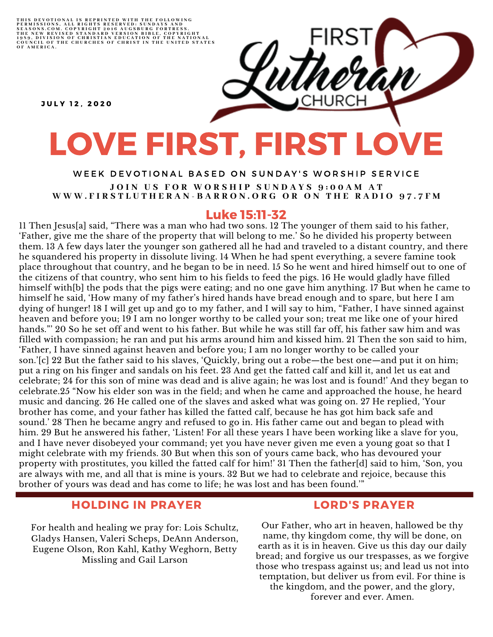THIS DEVOTIONAL IS REPRINTED WITH THE FOLLOWING<br>PERMISSIONS, ALL RIGHTS RESERVED: SUNDAYS AND<br>SEASONS.COM. COPYRIGHT 2016 AUGSBURG FORTRESS.<br>THE NEW REVISED STANDARD VERSION BIBLE, COPYRIGHT<br>1959, DIVISION OF CHRISTIAN EDU

**JULY 12. 2020** 

# LOVE FIRST, FIRST LOVE

#### WEEK DEVOTIONAL BASED ON SUNDAY'S WORSHIP SERVICE JOIN US FOR WORSHIP SUNDAYS 9:00AM AT WWW.FIRSTLUTHERAN-BARRON.ORG OR ON THE RADIO 97.7FM

# Luke 15:11-32

11 Then Jesus[a] said, "There was a man who had two sons. 12 The younger of them said to his father, 'Father, give me the share of the property that will belong to me.' So he divided his property between them. 13 A few days later the younger son gathered all he had and traveled to a distant country, and there he squandered his property in dissolute living. 14 When he had spent everything, a severe famine took place throughout that country, and he began to be in need. 15 So he went and hired himself out to one of the citizens of that country, who sent him to his fields to feed the pigs. 16 He would gladly have filled himself with[b] the pods that the pigs were eating; and no one gave him anything. 17 But when he came to himself he said, 'How many of my father's hired hands have bread enough and to spare, but here I am dying of hunger! 18 I will get up and go to my father, and I will say to him, "Father, I have sinned against heaven and before you; 19 I am no longer worthy to be called your son; treat me like one of your hired hands."' 20 So he set off and went to his father. But while he was still far off, his father saw him and was filled with compassion; he ran and put his arms around him and kissed him. 21 Then the son said to him, 'Father, I have sinned against heaven and before you; I am no longer worthy to be called your son.'[c] 22 But the father said to his slaves, 'Quickly, bring out a robe—the best one—and put it on him; put a ring on his finger and sandals on his feet. 23 And get the fatted calf and kill it, and let us eat and celebrate; 24 for this son of mine was dead and is alive again; he was lost and is found!' And they began to celebrate.25 "Now his elder son was in the field; and when he came and approached the house, he heard music and dancing. 26 He called one of the slaves and asked what was going on. 27 He replied, 'Your brother has come, and your father has killed the fatted calf, because he has got him back safe and sound.' 28 Then he became angry and refused to go in. His father came out and began to plead with him. 29 But he answered his father, 'Listen! For all these years I have been working like a slave for you, and I have never disobeyed your command; yet you have never given me even a young goat so that I might celebrate with my friends. 30 But when this son of yours came back, who has devoured your property with prostitutes, you killed the fatted calf for him!' 31 Then the father[d] said to him, 'Son, you are always with me, and all that is mine is yours. 32 But we had to celebrate and rejoice, because this brother of yours was dead and has come to life; he was lost and has been found.'"

# HOLDING IN PRAYER

For health and healing we pray for: Lois Schultz, Gladys Hansen, Valeri Scheps, DeAnn Anderson, Eugene Olson, Ron Kahl, Kathy Weghorn, Betty Missling and Gail Larson

#### LORD'S PRAYER

Our Father, who art in heaven, hallowed be thy name, thy kingdom come, thy will be done, on earth as it is in heaven. Give us this day our daily bread; and forgive us our trespasses, as we forgive those who trespass against us; and lead us not into temptation, but deliver us from evil. For thine is the kingdom, and the power, and the glory, forever and ever. Amen.